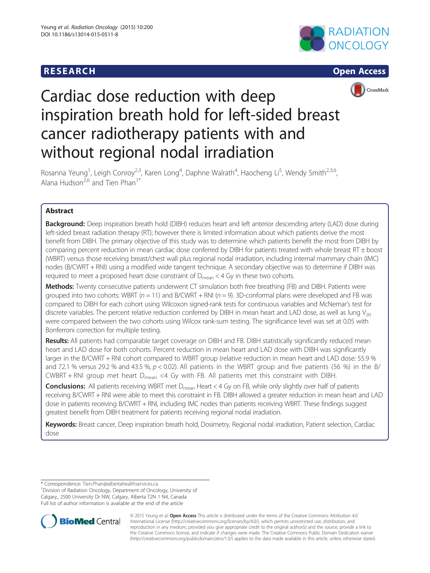# **RESEARCH RESEARCH CONSUMING ACCESS**







# Cardiac dose reduction with deep inspiration breath hold for left-sided breast cancer radiotherapy patients with and without regional nodal irradiation

Rosanna Yeung<sup>1</sup>, Leigh Conroy<sup>2,3</sup>, Karen Long<sup>4</sup>, Daphne Walrath<sup>4</sup>, Haocheng Li<sup>5</sup>, Wendy Smith<sup>2,3,6</sup>, Alana Hudson<sup>2,6</sup> and Tien Phan<sup>1\*</sup>

# Abstract

Background: Deep inspiration breath hold (DIBH) reduces heart and left anterior descending artery (LAD) dose during left-sided breast radiation therapy (RT); however there is limited information about which patients derive the most benefit from DIBH. The primary objective of this study was to determine which patients benefit the most from DIBH by comparing percent reduction in mean cardiac dose conferred by DIBH for patients treated with whole breast  $RT \pm$  boost (WBRT) versus those receiving breast/chest wall plus regional nodal irradiation, including internal mammary chain (IMC) nodes (B/CWRT + RNI) using a modified wide tangent technique. A secondary objective was to determine if DIBH was required to meet a proposed heart dose constraint of  $D_{mean}$  < 4 Gy in these two cohorts.

Methods: Twenty consecutive patients underwent CT simulation both free breathing (FB) and DIBH. Patients were grouped into two cohorts: WBRT ( $n = 11$ ) and B/CWRT + RNI ( $n = 9$ ). 3D-conformal plans were developed and FB was compared to DIBH for each cohort using Wilcoxon signed-rank tests for continuous variables and McNemar's test for discrete variables. The percent relative reduction conferred by DIBH in mean heart and LAD dose, as well as lung  $V_{20}$ were compared between the two cohorts using Wilcox rank-sum testing. The significance level was set at 0.05 with Bonferroni correction for multiple testing.

Results: All patients had comparable target coverage on DIBH and FB. DIBH statistically significantly reduced mean heart and LAD dose for both cohorts. Percent reduction in mean heart and LAD dose with DIBH was significantly larger in the B/CWRT + RNI cohort compared to WBRT group (relative reduction in mean heart and LAD dose: 55.9 % and 72.1 % versus 29.2 % and 43.5 %,  $p < 0.02$ ). All patients in the WBRT group and five patients (56 %) in the B/  $CWBRT + RNI$  group met heart  $D_{mean}$  <4 Gy with FB. All patients met this constraint with DIBH.

**Conclusions:** All patients receiving WBRT met  $D_{mean}$  Heart < 4 Gy on FB, while only slightly over half of patients receiving B/CWRT + RNI were able to meet this constraint in FB. DIBH allowed a greater reduction in mean heart and LAD dose in patients receiving B/CWRT + RNI, including IMC nodes than patients receiving WBRT. These findings suggest greatest benefit from DIBH treatment for patients receiving regional nodal irradiation.

Keywords: Breast cancer, Deep inspiration breath hold, Dosimetry, Regional nodal irradiation, Patient selection, Cardiac dose

\* Correspondence: [Tien.Phan@albertahealthservices.ca](mailto:Tien.Phan@albertahealthservices.ca) <sup>1</sup>

<sup>1</sup> Division of Radiation Oncology, Department of Oncology, University of Calgary,, 2500 University Dr NW, Calgary, Alberta T2N 1 N4, Canada Full list of author information is available at the end of the article



© 2015 Yeung et al. Open Access This article is distributed under the terms of the Creative Commons Attribution 4.0 International License [\(http://creativecommons.org/licenses/by/4.0/](http://creativecommons.org/licenses/by/4.0/)), which permits unrestricted use, distribution, and reproduction in any medium, provided you give appropriate credit to the original author(s) and the source, provide a link to the Creative Commons license, and indicate if changes were made. The Creative Commons Public Domain Dedication waiver [\(http://creativecommons.org/publicdomain/zero/1.0/](http://creativecommons.org/publicdomain/zero/1.0/)) applies to the data made available in this article, unless otherwise stated.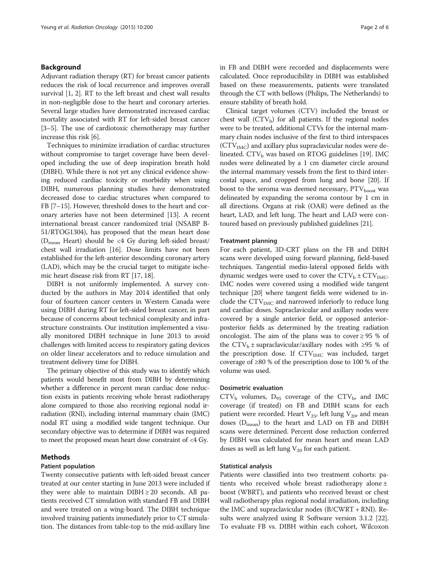# Background

Adjuvant radiation therapy (RT) for breast cancer patients reduces the risk of local recurrence and improves overall survival [[1, 2\]](#page-5-0). RT to the left breast and chest wall results in non-negligible dose to the heart and coronary arteries. Several large studies have demonstrated increased cardiac mortality associated with RT for left-sided breast cancer [[3](#page-5-0)–[5](#page-5-0)]. The use of cardiotoxic chemotherapy may further increase this risk [\[6](#page-5-0)].

Techniques to minimize irradiation of cardiac structures without compromise to target coverage have been developed including the use of deep inspiration breath hold (DIBH). While there is not yet any clinical evidence showing reduced cardiac toxicity or morbidity when using DIBH, numerous planning studies have demonstrated decreased dose to cardiac structures when compared to FB [\[7](#page-5-0)–[15\]](#page-5-0). However, threshold doses to the heart and coronary arteries have not been determined [[13](#page-5-0)]. A recent international breast cancer randomized trial (NSABP B-51/RTOG1304), has proposed that the mean heart dose ( $D_{\text{mean}}$  Heart) should be <4 Gy during left-sided breast/ chest wall irradiation [[16\]](#page-5-0). Dose limits have not been established for the left-anterior descending coronary artery (LAD), which may be the crucial target to mitigate ischemic heart disease risk from RT [\[17, 18](#page-5-0)].

DIBH is not uniformly implemented. A survey conducted by the authors in May 2014 identified that only four of fourteen cancer centers in Western Canada were using DIBH during RT for left-sided breast cancer, in part because of concerns about technical complexity and infrastructure constraints. Our institution implemented a visually monitored DIBH technique in June 2013 to avoid challenges with limited access to respiratory gating devices on older linear accelerators and to reduce simulation and treatment delivery time for DIBH.

The primary objective of this study was to identify which patients would benefit most from DIBH by determining whether a difference in percent mean cardiac dose reduction exists in patients receiving whole breast radiotherapy alone compared to those also receiving regional nodal irradiation (RNI), including internal mammary chain (IMC) nodal RT using a modified wide tangent technique. Our secondary objective was to determine if DIBH was required to meet the proposed mean heart dose constraint of <4 Gy.

# Methods

# Patient population

Twenty consecutive patients with left-sided breast cancer treated at our center starting in June 2013 were included if they were able to maintain  $DIBH \geq 20$  seconds. All patients received CT simulation with standard FB and DIBH and were treated on a wing-board. The DIBH technique involved training patients immediately prior to CT simulation. The distances from table-top to the mid-axillary line in FB and DIBH were recorded and displacements were calculated. Once reproducibility in DIBH was established based on these measurements, patients were translated through the CT with bellows (Philips, The Netherlands) to ensure stability of breath hold.

Clinical target volumes (CTV) included the breast or chest wall  $(TV_b)$  for all patients. If the regional nodes were to be treated, additional CTVs for the internal mammary chain nodes inclusive of the first to third interspaces (CTV<sub>IMC</sub>) and axillary plus supraclavicular nodes were delineated.  $CTV<sub>b</sub>$  was based on RTOG guidelines [[19](#page-5-0)]. IMC nodes were delineated by a 1 cm diameter circle around the internal mammary vessels from the first to third intercostal space, and cropped from lung and bone [[20](#page-5-0)]. If boost to the seroma was deemed necessary,  $PTV<sub>boost</sub>$  was delineated by expanding the seroma contour by 1 cm in all directions. Organs at risk (OAR) were defined as the heart, LAD, and left lung. The heart and LAD were contoured based on previously published guidelines [\[21\]](#page-5-0).

# Treatment planning

For each patient, 3D-CRT plans on the FB and DIBH scans were developed using forward planning, field-based techniques. Tangential medio-lateral opposed fields with dynamic wedges were used to cover the  $CTV<sub>b</sub> \pm CTV<sub>IMC</sub>$ . IMC nodes were covered using a modified wide tangent technique [\[20\]](#page-5-0) where tangent fields were widened to include the  $CTV<sub>IMC</sub>$  and narrowed inferiorly to reduce lung and cardiac doses. Supraclavicular and axillary nodes were covered by a single anterior field, or opposed anteriorposterior fields as determined by the treating radiation oncologist. The aim of the plans was to cover  $\geq 95$  % of the CTV<sub>b</sub> ± supraclavicular/axillary nodes with ≥95 % of the prescription dose. If CTV<sub>IMC</sub> was included, target coverage of ≥80 % of the prescription dose to 100 % of the volume was used.

# Dosimetric evaluation

 $CTV<sub>b</sub>$  volumes,  $D<sub>95</sub>$  coverage of the  $CTV<sub>b</sub>$ , and IMC coverage (if treated) on FB and DIBH scans for each patient were recorded. Heart  $V_{25}$ , left lung  $V_{20}$ , and mean doses  $(D_{mean})$  to the heart and LAD on FB and DIBH scans were determined. Percent dose reduction conferred by DIBH was calculated for mean heart and mean LAD doses as well as left lung  $V_{20}$  for each patient.

# Statistical analysis

Patients were classified into two treatment cohorts: patients who received whole breast radiotherapy alone ± boost (WBRT), and patients who received breast or chest wall radiotherapy plus regional nodal irradiation, including the IMC and supraclavicular nodes (B/CWRT + RNI). Results were analyzed using R Software version 3.1.2 [[22](#page-5-0)]. To evaluate FB vs. DIBH within each cohort, Wilcoxon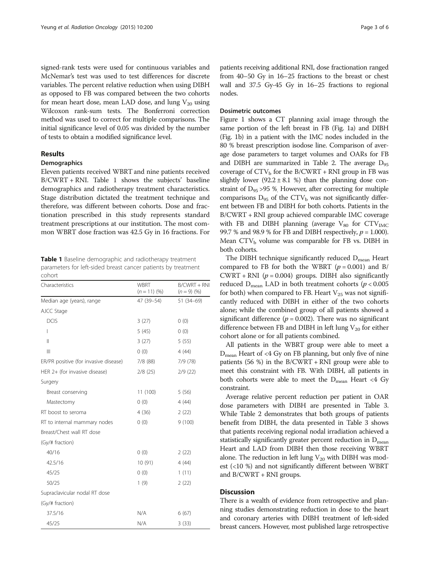signed-rank tests were used for continuous variables and McNemar's test was used to test differences for discrete variables. The percent relative reduction when using DIBH as opposed to FB was compared between the two cohorts for mean heart dose, mean LAD dose, and lung  $V_{20}$  using Wilcoxon rank-sum tests. The Bonferroni correction method was used to correct for multiple comparisons. The initial significance level of 0.05 was divided by the number of tests to obtain a modified significance level.

# Results

# Demographics

Eleven patients received WBRT and nine patients received B/CWRT + RNI. Table 1 shows the subjects' baseline demographics and radiotherapy treatment characteristics. Stage distribution dictated the treatment technique and therefore, was different between cohorts. Dose and fractionation prescribed in this study represents standard treatment prescriptions at our institution. The most common WBRT dose fraction was 42.5 Gy in 16 fractions. For

Table 1 Baseline demographic and radiotherapy treatment parameters for left-sided breast cancer patients by treatment cohort

| Characteristics                       | <b>WBRT</b><br>$(n = 11)$ (%) | $B/CWRT + RNI$<br>$(n = 9)$ (%) |
|---------------------------------------|-------------------------------|---------------------------------|
| Median age (years), range             | 47 (39-54)                    | 51 (34-69)                      |
| AJCC Stage                            |                               |                                 |
| <b>DCIS</b>                           | 3(27)                         | 0(0)                            |
| I                                     | 5(45)                         | 0(0)                            |
| $\mathbf{  }$                         | 3(27)                         | 5(55)                           |
| $\mathsf{III}$                        | 0(0)                          | 4(44)                           |
| ER/PR positive (for invasive disease) | 7/8 (88)                      | 7/9 (78)                        |
| HER 2+ (for invasive disease)         | 2/8(25)                       | 2/9(22)                         |
| Surgery                               |                               |                                 |
| Breast conserving                     | 11 (100)                      | 5(56)                           |
| Mastectomy                            | 0(0)                          | 4(44)                           |
| RT boost to seroma                    | 4(36)                         | 2(22)                           |
| RT to internal mammary nodes          | 0(0)                          | 9(100)                          |
| Breast/Chest wall RT dose             |                               |                                 |
| (Gy/# fraction)                       |                               |                                 |
| 40/16                                 | 0(0)                          | 2(22)                           |
| 42.5/16                               | 10(91)                        | 4(44)                           |
| 45/25                                 | 0(0)                          | 1(11)                           |
| 50/25                                 | 1(9)                          | 2(22)                           |
| Supraclavicular nodal RT dose         |                               |                                 |
| (Gy/# fraction)                       |                               |                                 |
| 37.5/16                               | N/A                           | 6(67)                           |
| 45/25                                 | N/A                           | 3(33)                           |

patients receiving additional RNI, dose fractionation ranged from 40–50 Gy in 16–25 fractions to the breast or chest wall and 37.5 Gy-45 Gy in 16–25 fractions to regional nodes.

# Dosimetric outcomes

Figure [1](#page-3-0) shows a CT planning axial image through the same portion of the left breast in FB (Fig. [1a\)](#page-3-0) and DIBH (Fig. [1b\)](#page-3-0) in a patient with the IMC nodes included in the 80 % breast prescription isodose line. Comparison of average dose parameters to target volumes and OARs for FB and DIBH are summarized in Table [2.](#page-4-0) The average  $D_{95}$ coverage of  $CTV<sub>b</sub>$  for the B/CWRT + RNI group in FB was slightly lower  $(92.2 \pm 8.1 \%)$  than the planning dose constraint of  $D_{95} > 95$  %. However, after correcting for multiple comparisons  $D_{95}$  of the CTV<sub>b</sub> was not significantly different between FB and DIBH for both cohorts. Patients in the B/CWRT + RNI group achieved comparable IMC coverage with FB and DIBH planning (average  $V_{80}$  for  $CTV_{IMC}$ 99.7 % and 98.9 % for FB and DIBH respectively,  $p = 1.000$ ). Mean  $CTV<sub>b</sub>$  volume was comparable for FB vs. DIBH in both cohorts.

The DIBH technique significantly reduced  $D_{mean}$  Heart compared to FB for both the WBRT ( $p = 0.001$ ) and B/ CWRT + RNI ( $p = 0.004$ ) groups. DIBH also significantly reduced  $D_{\text{mean}}$  LAD in both treatment cohorts ( $p < 0.005$ for both) when compared to FB. Heart  $V_{25}$  was not significantly reduced with DIBH in either of the two cohorts alone; while the combined group of all patients showed a significant difference ( $p = 0.002$ ). There was no significant difference between FB and DIBH in left lung  $V_{20}$  for either cohort alone or for all patients combined.

All patients in the WBRT group were able to meet a  $D_{\text{mean}}$  Heart of <4 Gy on FB planning, but only five of nine patients (56 %) in the  $B/CWRT + RNI$  group were able to meet this constraint with FB. With DIBH, all patients in both cohorts were able to meet the  $D_{\text{mean}}$  Heart <4 Gy constraint.

Average relative percent reduction per patient in OAR dose parameters with DIBH are presented in Table [3](#page-4-0). While Table [2](#page-4-0) demonstrates that both groups of patients benefit from DIBH, the data presented in Table [3](#page-4-0) shows that patients receiving regional nodal irradiation achieved a statistically significantly greater percent reduction in  $D_{\text{mean}}$ Heart and LAD from DIBH then those receiving WBRT alone. The reduction in left lung  $V_{20}$  with DIBH was modest (<10 %) and not significantly different between WBRT and B/CWRT + RNI groups.

# **Discussion**

There is a wealth of evidence from retrospective and planning studies demonstrating reduction in dose to the heart and coronary arteries with DIBH treatment of left-sided breast cancers. However, most published large retrospective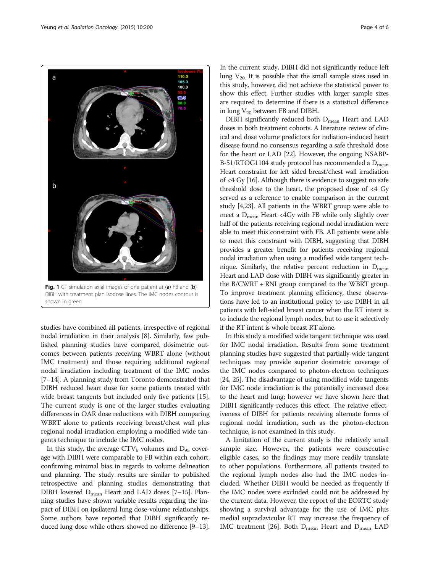<span id="page-3-0"></span>

studies have combined all patients, irrespective of regional nodal irradiation in their analysis [\[8](#page-5-0)]. Similarly, few published planning studies have compared dosimetric outcomes between patients receiving WBRT alone (without IMC treatment) and those requiring additional regional nodal irradiation including treatment of the IMC nodes [[7](#page-5-0)–[14\]](#page-5-0). A planning study from Toronto demonstrated that DIBH reduced heart dose for some patients treated with wide breast tangents but included only five patients [[15](#page-5-0)]. The current study is one of the larger studies evaluating differences in OAR dose reductions with DIBH comparing WBRT alone to patients receiving breast/chest wall plus regional nodal irradiation employing a modified wide tangents technique to include the IMC nodes.

In this study, the average  $CTV_b$  volumes and  $D_{95}$  coverage with DIBH were comparable to FB within each cohort, confirming minimal bias in regards to volume delineation and planning. The study results are similar to published retrospective and planning studies demonstrating that DIBH lowered  $D_{mean}$  Heart and LAD doses [\[7](#page-5-0)–[15](#page-5-0)]. Planning studies have shown variable results regarding the impact of DIBH on ipsilateral lung dose-volume relationships. Some authors have reported that DIBH significantly reduced lung dose while others showed no difference [\[9](#page-5-0)–[13](#page-5-0)]. In the current study, DIBH did not significantly reduce left lung  $V_{20}$ . It is possible that the small sample sizes used in this study, however, did not achieve the statistical power to show this effect. Further studies with larger sample sizes are required to determine if there is a statistical difference in lung  $V_{20}$  between FB and DIBH.

DIBH significantly reduced both  $D_{mean}$  Heart and LAD doses in both treatment cohorts. A literature review of clinical and dose volume predictors for radiation-induced heart disease found no consensus regarding a safe threshold dose for the heart or LAD [\[22\]](#page-5-0). However, the ongoing NSABP-B-51/RTOG1104 study protocol has recommended a  $D_{\text{mean}}$ Heart constraint for left sided breast/chest wall irradiation of <4 Gy [\[16\]](#page-5-0). Although there is evidence to suggest no safe threshold dose to the heart, the proposed dose of <4 Gy served as a reference to enable comparison in the current study [\[4,23](#page-5-0)]. All patients in the WBRT group were able to meet a D<sub>mean</sub> Heart <4Gy with FB while only slightly over half of the patients receiving regional nodal irradiation were able to meet this constraint with FB. All patients were able to meet this constraint with DIBH, suggesting that DIBH provides a greater benefit for patients receiving regional nodal irradiation when using a modified wide tangent technique. Similarly, the relative percent reduction in  $D_{\text{mean}}$ Heart and LAD dose with DIBH was significantly greater in the B/CWRT + RNI group compared to the WBRT group. To improve treatment planning efficiency, these observations have led to an institutional policy to use DIBH in all patients with left-sided breast cancer when the RT intent is to include the regional lymph nodes, but to use it selectively if the RT intent is whole breast RT alone.

In this study a modified wide tangent technique was used for IMC nodal irradiation. Results from some treatment planning studies have suggested that partially-wide tangent techniques may provide superior dosimetric coverage of the IMC nodes compared to photon-electron techniques [[24](#page-5-0), [25\]](#page-5-0). The disadvantage of using modified wide tangents for IMC node irradiation is the potentially increased dose to the heart and lung; however we have shown here that DIBH significantly reduces this effect. The relative effectiveness of DIBH for patients receiving alternate forms of regional nodal irradiation, such as the photon-electron technique, is not examined in this study.

A limitation of the current study is the relatively small sample size. However, the patients were consecutive eligible cases, so the findings may more readily translate to other populations. Furthermore, all patients treated to the regional lymph nodes also had the IMC nodes included. Whether DIBH would be needed as frequently if the IMC nodes were excluded could not be addressed by the current data. However, the report of the EORTC study showing a survival advantage for the use of IMC plus medial supraclavicular RT may increase the frequency of IMC treatment [\[26\]](#page-5-0). Both  $D_{mean}$  Heart and  $D_{mean}$  LAD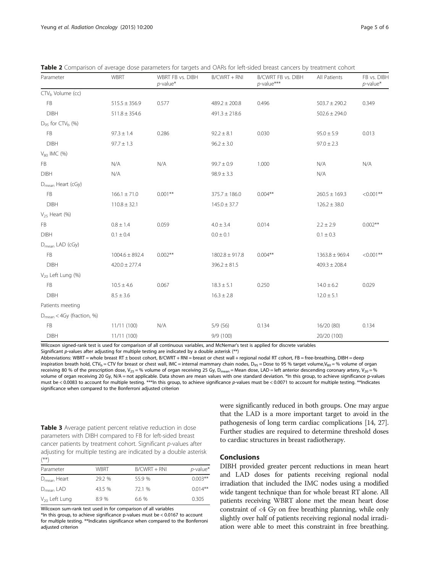| Parameter                         | <b>WBRT</b>        | WBRT FB vs. DIBH<br>$p$ -value* | $B/CWRT + RNI$     | B/CWRT FB vs. DIBH<br>$p$ -value*** | All Patients       | FB vs. DIBH<br>$p$ -value* |  |
|-----------------------------------|--------------------|---------------------------------|--------------------|-------------------------------------|--------------------|----------------------------|--|
| CTV <sub>b</sub> Volume (cc)      |                    |                                 |                    |                                     |                    |                            |  |
| FB                                | $515.5 \pm 356.9$  | 0.577                           | $489.2 \pm 200.8$  | 0.496                               | $503.7 \pm 290.2$  | 0.349                      |  |
| <b>DIBH</b>                       | $511.8 \pm 354.6$  |                                 | $491.3 \pm 218.6$  |                                     | $502.6 \pm 294.0$  |                            |  |
| $D_{95}$ for CTV <sub>b</sub> (%) |                    |                                 |                    |                                     |                    |                            |  |
| FB                                | $97.3 \pm 1.4$     | 0.286                           | $92.2 \pm 8.1$     | 0.030                               | $95.0 \pm 5.9$     | 0.013                      |  |
| <b>DIBH</b>                       | $97.7 \pm 1.3$     |                                 | $96.2 \pm 3.0$     |                                     | $97.0 \pm 2.3$     |                            |  |
| $V_{80}$ IMC (%)                  |                    |                                 |                    |                                     |                    |                            |  |
| <b>FB</b>                         | N/A                | N/A                             | $99.7 \pm 0.9$     | 1.000                               | N/A                | N/A                        |  |
| DIBH                              | N/A                |                                 | $98.9 \pm 3.3$     |                                     | N/A                |                            |  |
| D <sub>mean</sub> Heart (cGy)     |                    |                                 |                    |                                     |                    |                            |  |
| FB                                | $166.1 \pm 71.0$   | $0.001**$                       | $375.7 \pm 186.0$  | $0.004**$                           | $260.5 \pm 169.3$  | $< 0.001**$                |  |
| <b>DIBH</b>                       | $110.8 \pm 32.1$   |                                 | $145.0 \pm 37.7$   |                                     | $126.2 \pm 38.0$   |                            |  |
| $V_{25}$ Heart (%)                |                    |                                 |                    |                                     |                    |                            |  |
| <b>FB</b>                         | $0.8 \pm 1.4$      | 0.059                           | $4.0 \pm 3.4$      | 0.014                               | $2.2 \pm 2.9$      | $0.002**$                  |  |
| <b>DIBH</b>                       | $0.1 \pm 0.4$      | $0.0 \pm 0.1$                   |                    |                                     | $0.1 \pm 0.3$      |                            |  |
| D <sub>mean</sub> LAD (cGy)       |                    |                                 |                    |                                     |                    |                            |  |
| FB                                | $1004.6 \pm 892.4$ | $0.002**$                       | $1802.8 \pm 917.8$ | $0.004**$                           | $1363.8 \pm 969.4$ | $< 0.001$ **               |  |
| <b>DIBH</b>                       | $420.0 \pm 277.4$  |                                 | $396.2 \pm 81.5$   |                                     | $409.3 \pm 208.4$  |                            |  |
| V <sub>20</sub> Left Lung (%)     |                    |                                 |                    |                                     |                    |                            |  |
| FB                                | $10.5 \pm 4.6$     | 0.067                           | $18.3 \pm 5.1$     | 0.250                               | $14.0 \pm 6.2$     | 0.029                      |  |
| <b>DIBH</b>                       | $8.5 \pm 3.6$      |                                 | $16.3 \pm 2.8$     |                                     | $12.0 \pm 5.1$     |                            |  |
| Patients meeting                  |                    |                                 |                    |                                     |                    |                            |  |
| $D_{mean}$ < 4Gy (fraction, %)    |                    |                                 |                    |                                     |                    |                            |  |
| FB                                | 11/11 (100)        | N/A                             | 5/9(56)            | 0.134                               | 16/20 (80)         | 0.134                      |  |
| <b>DIBH</b>                       | 11/11 (100)        |                                 | 9/9 (100)          |                                     | 20/20 (100)        |                            |  |

<span id="page-4-0"></span>

|  |  |  |  |  |  |  | Table 2 Comparison of average dose parameters for targets and OARs for left-sided breast cancers by treatment cohort |
|--|--|--|--|--|--|--|----------------------------------------------------------------------------------------------------------------------|
|--|--|--|--|--|--|--|----------------------------------------------------------------------------------------------------------------------|

Wilcoxon signed-rank test is used for comparison of all continuous variables, and McNemar's test is applied for discrete variables Significant p-values after adjusting for multiple testing are indicated by a double asterisk (\*\*)

Abbreviations: WBRT = whole breast RT ± boost cohort, B/CWRT + RNI = breast or chest wall + regional nodal RT cohort, FB = free-breathing, DIBH = deep inspiration breath hold, CTV<sub>b</sub> = CTV for breast or chest wall, IMC = internal mammary chain nodes, D<sub>95</sub> = Dose to 95 % target volume,V<sub>80</sub> = % volume of organ receiving 80 % of the prescription dose, V<sub>25</sub> = % volume of organ receiving 25 Gy, D<sub>mean</sub> = Mean dose, LAD = left anterior descending coronary artery, V<sub>20</sub> = % volume of organ receiving 20 Gy, N/A = not applicable. Data shown are mean values with one standard deviation. \*In this group, to achieve significance p-values must be < 0.0083 to account for multiple testing. \*\*\*In this group, to achieve significance p-values must be < 0.0071 to account for multiple testing. \*\*Indicates significance when compared to the Bonferroni adjusted criterion

Table 3 Average patient percent relative reduction in dose parameters with DIBH compared to FB for left-sided breast cancer patients by treatment cohort. Significant p-values after adjusting for multiple testing are indicated by a double asterisk (\*\*)

| Parameter               | WBRT   | $B/CWRT + RNI$ | $p$ -value* |
|-------------------------|--------|----------------|-------------|
| $D_{\text{mean}}$ Heart | 29.2 % | 55.9 %         | $0.003**$   |
| $D_{mean}$ LAD          | 43.5 % | 72.1 %         | $0.014**$   |
| $V_{20}$ Left Lung      | 8.9 %  | 6.6 %          | 0.305       |

Wilcoxon sum-rank test used in for comparison of all variables

\*In this group, to achieve significance p-values must be < 0.0167 to account for multiple testing. \*\*Indicates significance when compared to the Bonferroni adjusted criterion

were significantly reduced in both groups. One may argue that the LAD is a more important target to avoid in the pathogenesis of long term cardiac complications [\[14](#page-5-0), [27](#page-5-0)]. Further studies are required to determine threshold doses to cardiac structures in breast radiotherapy.

# Conclusions

DIBH provided greater percent reductions in mean heart and LAD doses for patients receiving regional nodal irradiation that included the IMC nodes using a modified wide tangent technique than for whole breast RT alone. All patients receiving WBRT alone met the mean heart dose constraint of <4 Gy on free breathing planning, while only slightly over half of patients receiving regional nodal irradiation were able to meet this constraint in free breathing.